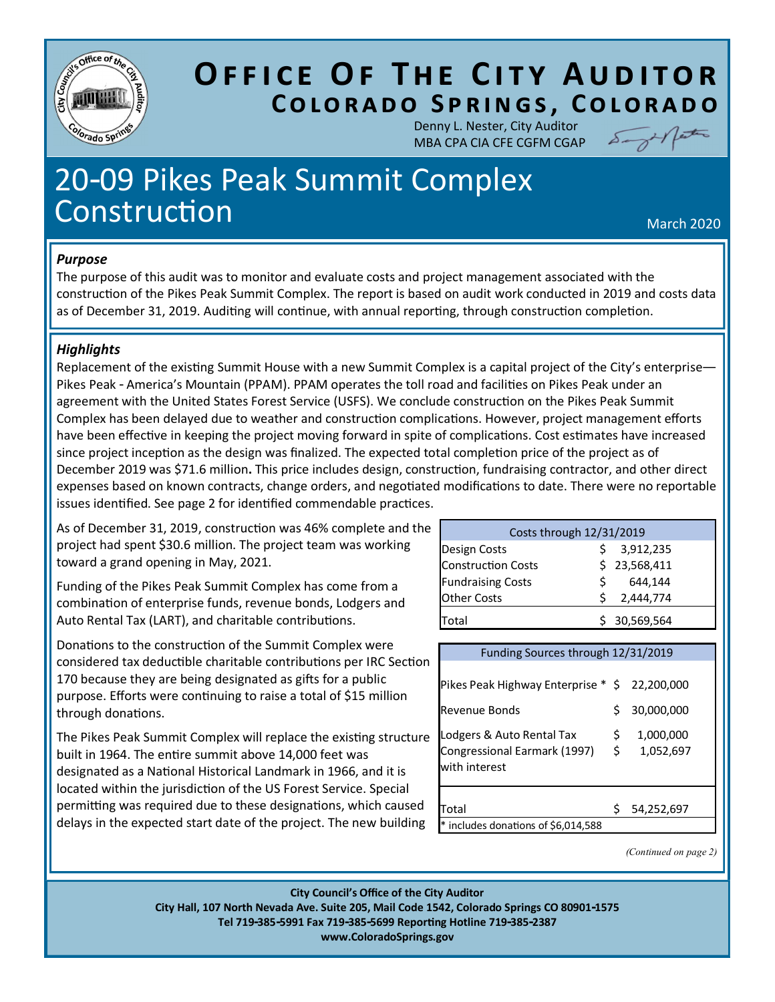

## **OFFICE OF THE CITY AUDITOR COLORADO SPRINGS, COLORADO**

Denny L. Nester, City Auditor MBA CPA CIA CFE CGFM CGAP

Sager patro

# 20-09 Pikes Peak Summit Complex Construction and the construction of the construction of the construction of the construction of the construction

#### *Purpose*

The purpose of this audit was to monitor and evaluate costs and project management associated with the construction of the Pikes Peak Summit Complex. The report is based on audit work conducted in 2019 and costs data as of December 31, 2019. Auditing will continue, with annual reporting, through construction completion.

#### *Highlights*

Replacement of the existing Summit House with a new Summit Complex is a capital project of the City's enterprise— Pikes Peak - America's Mountain (PPAM). PPAM operates the toll road and facilities on Pikes Peak under an agreement with the United States Forest Service (USFS). We conclude construction on the Pikes Peak Summit Complex has been delayed due to weather and construction complications. However, project management efforts have been effective in keeping the project moving forward in spite of complications. Cost estimates have increased since project inception as the design was finalized. The expected total completion price of the project as of December 2019 was \$71.6 million. This price includes design, construction, fundraising contractor, and other direct expenses based on known contracts, change orders, and negotiated modifications to date. There were no reportable issues identified. See page 2 for identified commendable practices.

As of December 31, 2019, construction was 46% complete and the project had spent \$30.6 million. The project team was working toward a grand opening in May, 2021.

Funding of the Pikes Peak Summit Complex has come from a combination of enterprise funds, revenue bonds, Lodgers and Auto Rental Tax (LART), and charitable contributions.

Donations to the construction of the Summit Complex were considered tax deductible charitable contributions per IRC Section 170 because they are being designated as gifts for a public purpose. Efforts were continuing to raise a total of \$15 million through donations.

The Pikes Peak Summit Complex will replace the existing structure built in 1964. The entire summit above 14,000 feet was designated as a National Historical Landmark in 1966, and it is located within the jurisdiction of the US Forest Service. Special permitting was required due to these designations, which caused delays in the expected start date of the project. The new building

| Costs through 12/31/2019  |    |              |  |  |  |
|---------------------------|----|--------------|--|--|--|
| Design Costs              |    | 3,912,235    |  |  |  |
| <b>Construction Costs</b> |    | \$23,568,411 |  |  |  |
| <b>Fundraising Costs</b>  | S. | 644,144      |  |  |  |
| <b>Other Costs</b>        |    | 2,444,774    |  |  |  |
| Total                     |    | 30,569,564   |  |  |  |

| Funding Sources through 12/31/2019                                         |           |                        |  |  |
|----------------------------------------------------------------------------|-----------|------------------------|--|--|
| Pikes Peak Highway Enterprise * \$ 22,200,000                              |           |                        |  |  |
| Revenue Bonds                                                              | Ś         | 30,000,000             |  |  |
| Lodgers & Auto Rental Tax<br>Congressional Earmark (1997)<br>with interest | \$.<br>\$ | 1,000,000<br>1,052,697 |  |  |
| Total<br>includes donations of \$6,014,588                                 | Ś         | 54,252,697             |  |  |

*(Continued on page 2)*

**City Council's Office of the City Auditor City Hall, 107 North Nevada Ave. Suite 205, Mail Code 1542, Colorado Springs CO 80901-1575 Tel 719-385-5991 Fax 719-385-5699 ReporƟng Hotline 719-385-2387 www.ColoradoSprings.gov**